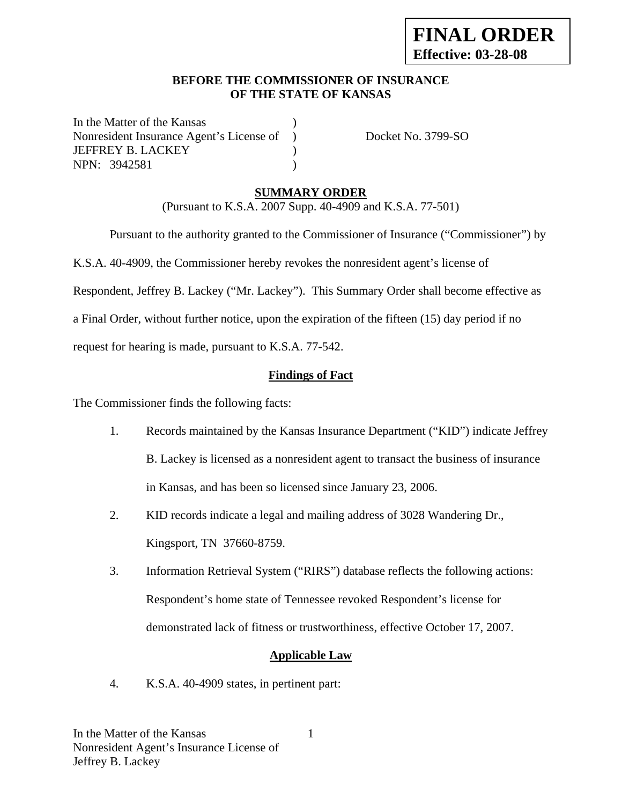#### **BEFORE THE COMMISSIONER OF INSURANCE OF THE STATE OF KANSAS**

In the Matter of the Kansas Nonresident Insurance Agent's License of ) Docket No. 3799-SO JEFFREY B. LACKEY ) NPN: 3942581 )

# **SUMMARY ORDER**

(Pursuant to K.S.A. 2007 Supp. 40-4909 and K.S.A. 77-501)

 Pursuant to the authority granted to the Commissioner of Insurance ("Commissioner") by K.S.A. 40-4909, the Commissioner hereby revokes the nonresident agent's license of Respondent, Jeffrey B. Lackey ("Mr. Lackey"). This Summary Order shall become effective as a Final Order, without further notice, upon the expiration of the fifteen (15) day period if no request for hearing is made, pursuant to K.S.A. 77-542.

# **Findings of Fact**

The Commissioner finds the following facts:

- 1. Records maintained by the Kansas Insurance Department ("KID") indicate Jeffrey B. Lackey is licensed as a nonresident agent to transact the business of insurance in Kansas, and has been so licensed since January 23, 2006.
- 2. KID records indicate a legal and mailing address of 3028 Wandering Dr., Kingsport, TN 37660-8759.
- 3. Information Retrieval System ("RIRS") database reflects the following actions: Respondent's home state of Tennessee revoked Respondent's license for demonstrated lack of fitness or trustworthiness, effective October 17, 2007.

# **Applicable Law**

4. K.S.A. 40-4909 states, in pertinent part: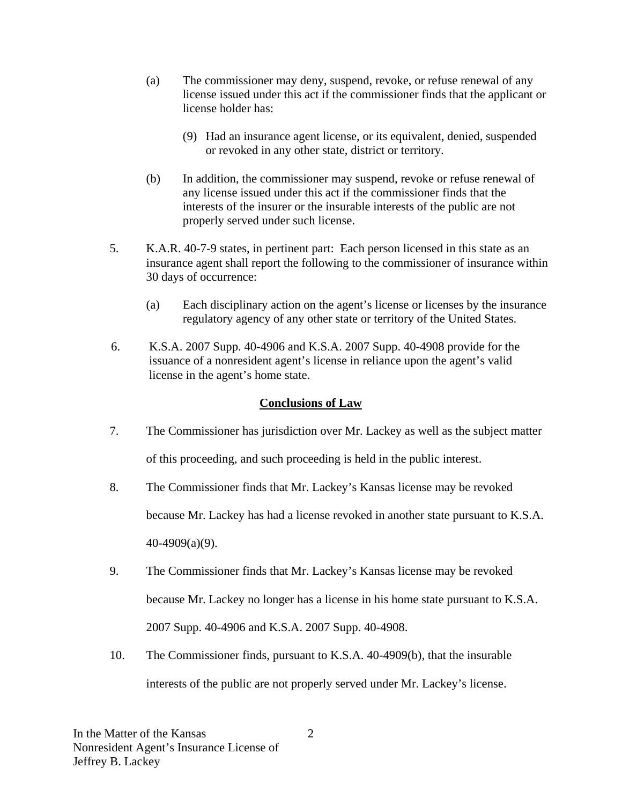- (a) The commissioner may deny, suspend, revoke, or refuse renewal of any license issued under this act if the commissioner finds that the applicant or license holder has:
	- (9) Had an insurance agent license, or its equivalent, denied, suspended or revoked in any other state, district or territory.
- (b) In addition, the commissioner may suspend, revoke or refuse renewal of any license issued under this act if the commissioner finds that the interests of the insurer or the insurable interests of the public are not properly served under such license.
- 5. K.A.R. 40-7-9 states, in pertinent part: Each person licensed in this state as an insurance agent shall report the following to the commissioner of insurance within 30 days of occurrence:
	- (a) Each disciplinary action on the agent's license or licenses by the insurance regulatory agency of any other state or territory of the United States.
- 6. K.S.A. 2007 Supp. 40-4906 and K.S.A. 2007 Supp. 40-4908 provide for the issuance of a nonresident agent's license in reliance upon the agent's valid license in the agent's home state.

# **Conclusions of Law**

- 7. The Commissioner has jurisdiction over Mr. Lackey as well as the subject matter of this proceeding, and such proceeding is held in the public interest.
- 8. The Commissioner finds that Mr. Lackey's Kansas license may be revoked because Mr. Lackey has had a license revoked in another state pursuant to K.S.A. 40-4909(a)(9).
- 9. The Commissioner finds that Mr. Lackey's Kansas license may be revoked because Mr. Lackey no longer has a license in his home state pursuant to K.S.A. 2007 Supp. 40-4906 and K.S.A. 2007 Supp. 40-4908.
- 10. The Commissioner finds, pursuant to K.S.A. 40-4909(b), that the insurable interests of the public are not properly served under Mr. Lackey's license.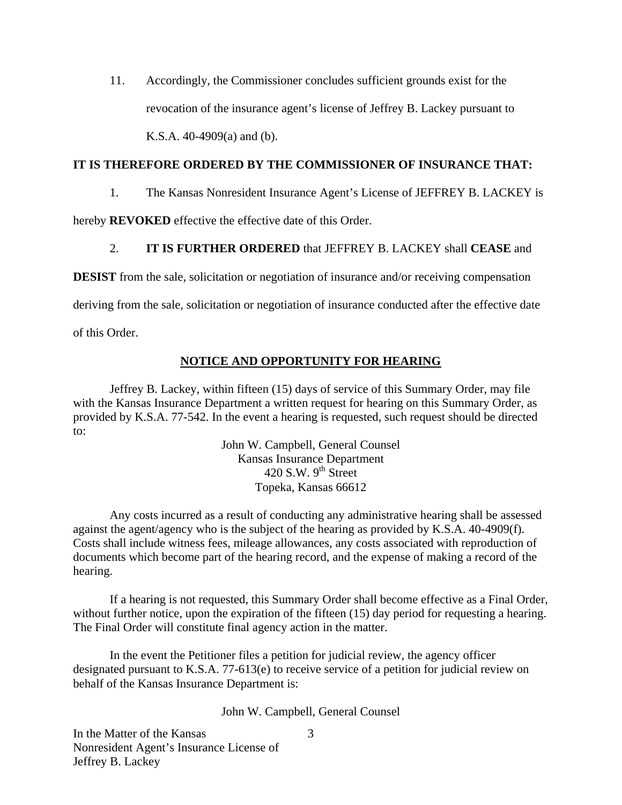11. Accordingly, the Commissioner concludes sufficient grounds exist for the revocation of the insurance agent's license of Jeffrey B. Lackey pursuant to K.S.A. 40-4909(a) and (b).

#### **IT IS THEREFORE ORDERED BY THE COMMISSIONER OF INSURANCE THAT:**

1. The Kansas Nonresident Insurance Agent's License of JEFFREY B. LACKEY is

hereby **REVOKED** effective the effective date of this Order.

# 2. **IT IS FURTHER ORDERED** that JEFFREY B. LACKEY shall **CEASE** and

**DESIST** from the sale, solicitation or negotiation of insurance and/or receiving compensation

deriving from the sale, solicitation or negotiation of insurance conducted after the effective date

of this Order.

# **NOTICE AND OPPORTUNITY FOR HEARING**

Jeffrey B. Lackey, within fifteen (15) days of service of this Summary Order, may file with the Kansas Insurance Department a written request for hearing on this Summary Order, as provided by K.S.A. 77-542. In the event a hearing is requested, such request should be directed to:

> John W. Campbell, General Counsel Kansas Insurance Department 420 S.W.  $9^{th}$  Street Topeka, Kansas 66612

Any costs incurred as a result of conducting any administrative hearing shall be assessed against the agent/agency who is the subject of the hearing as provided by K.S.A. 40-4909(f). Costs shall include witness fees, mileage allowances, any costs associated with reproduction of documents which become part of the hearing record, and the expense of making a record of the hearing.

If a hearing is not requested, this Summary Order shall become effective as a Final Order, without further notice, upon the expiration of the fifteen (15) day period for requesting a hearing. The Final Order will constitute final agency action in the matter.

In the event the Petitioner files a petition for judicial review, the agency officer designated pursuant to K.S.A. 77-613(e) to receive service of a petition for judicial review on behalf of the Kansas Insurance Department is:

John W. Campbell, General Counsel

3

In the Matter of the Kansas Nonresident Agent's Insurance License of Jeffrey B. Lackey